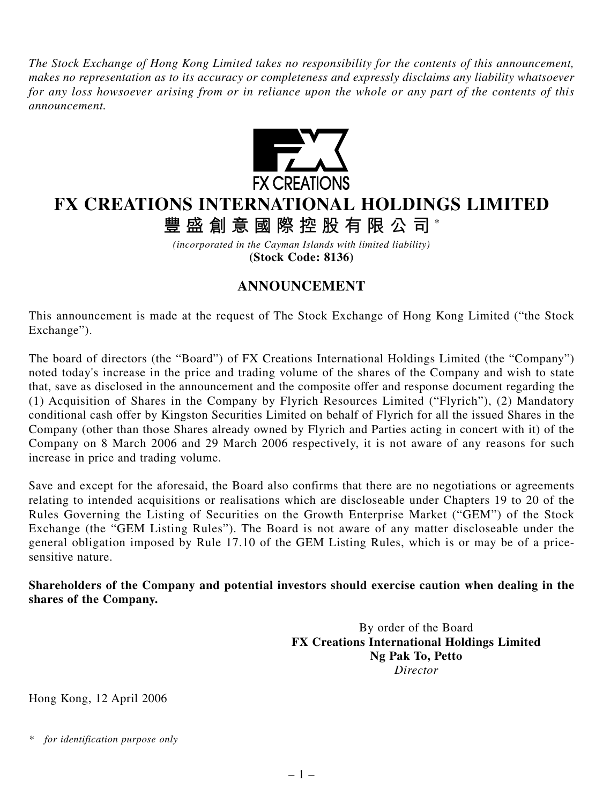*The Stock Exchange of Hong Kong Limited takes no responsibility for the contents of this announcement, makes no representation as to its accuracy or completeness and expressly disclaims any liability whatsoever for any loss howsoever arising from or in reliance upon the whole or any part of the contents of this announcement.*



## **FX CREATIONS INTERNATIONAL HOLDINGS LIMITED**

**豐盛創意國際控股有限公司** \*

*(incorporated in the Cayman Islands with limited liability)* **(Stock Code: 8136)**

## **ANNOUNCEMENT**

This announcement is made at the request of The Stock Exchange of Hong Kong Limited ("the Stock Exchange").

The board of directors (the "Board") of FX Creations International Holdings Limited (the "Company") noted today's increase in the price and trading volume of the shares of the Company and wish to state that, save as disclosed in the announcement and the composite offer and response document regarding the (1) Acquisition of Shares in the Company by Flyrich Resources Limited ("Flyrich"), (2) Mandatory conditional cash offer by Kingston Securities Limited on behalf of Flyrich for all the issued Shares in the Company (other than those Shares already owned by Flyrich and Parties acting in concert with it) of the Company on 8 March 2006 and 29 March 2006 respectively, it is not aware of any reasons for such increase in price and trading volume.

Save and except for the aforesaid, the Board also confirms that there are no negotiations or agreements relating to intended acquisitions or realisations which are discloseable under Chapters 19 to 20 of the Rules Governing the Listing of Securities on the Growth Enterprise Market ("GEM") of the Stock Exchange (the "GEM Listing Rules"). The Board is not aware of any matter discloseable under the general obligation imposed by Rule 17.10 of the GEM Listing Rules, which is or may be of a pricesensitive nature.

**Shareholders of the Company and potential investors should exercise caution when dealing in the shares of the Company.**

> By order of the Board **FX Creations International Holdings Limited Ng Pak To, Petto** *Director*

Hong Kong, 12 April 2006

*<sup>\*</sup> for identification purpose only*